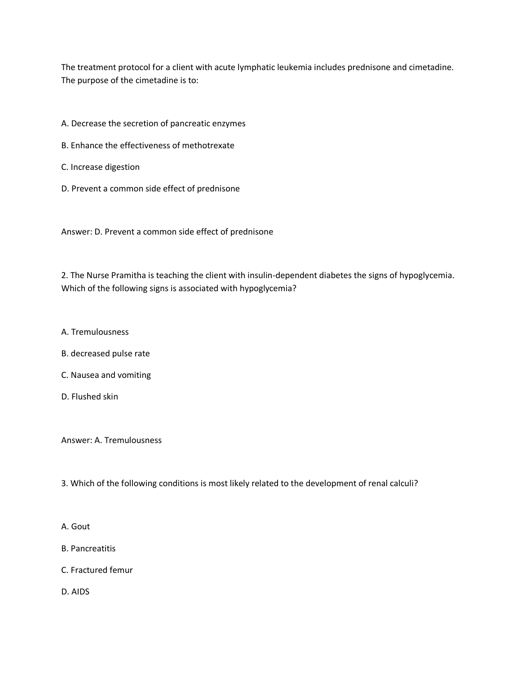The treatment protocol for a client with acute lymphatic leukemia includes prednisone and cimetadine. The purpose of the cimetadine is to:

- A. Decrease the secretion of pancreatic enzymes
- B. Enhance the effectiveness of methotrexate
- C. Increase digestion
- D. Prevent a common side effect of prednisone

Answer: D. Prevent a common side effect of prednisone

2. The Nurse Pramitha is teaching the client with insulin-dependent diabetes the signs of hypoglycemia. Which of the following signs is associated with hypoglycemia?

- A. Tremulousness
- B. decreased pulse rate
- C. Nausea and vomiting
- D. Flushed skin

Answer: A. Tremulousness

3. Which of the following conditions is most likely related to the development of renal calculi?

## A. Gout

- B. Pancreatitis
- C. Fractured femur
- D. AIDS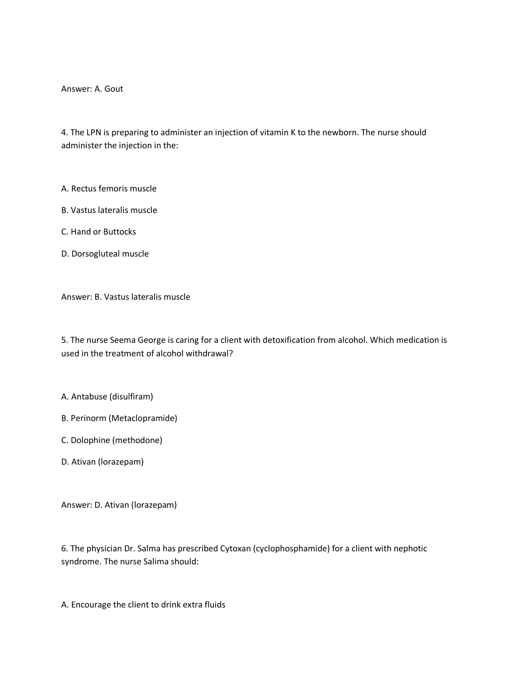Answer: A. Gout

4. The LPN is preparing to administer an injection of vitamin K to the newborn. The nurse should administer the injection in the:

A. Rectus femoris muscle

B. Vastus lateralis muscle

C. Hand or Buttocks

D. Dorsogluteal muscle

Answer: B. Vastus lateralis muscle

5. The nurse Seema George is caring for a client with detoxification from alcohol. Which medication is used in the treatment of alcohol withdrawal?

A. Antabuse (disulfiram)

B. Perinorm (Metaclopramide)

C. Dolophine (methodone)

D. Ativan (lorazepam)

Answer: D. Ativan (lorazepam)

6. The physician Dr. Salma has prescribed Cytoxan (cyclophosphamide) for a client with nephotic syndrome. The nurse Salima should:

A. Encourage the client to drink extra fluids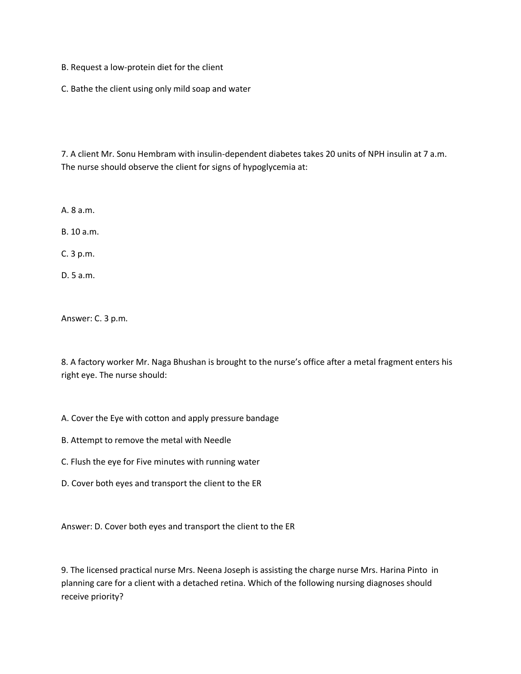- B. Request a low-protein diet for the client
- C. Bathe the client using only mild soap and water

7. A client Mr. Sonu Hembram with insulin-dependent diabetes takes 20 units of NPH insulin at 7 a.m. The nurse should observe the client for signs of hypoglycemia at:

A. 8 a.m.

B. 10 a.m.

C. 3 p.m.

D. 5 a.m.

Answer: C. 3 p.m.

8. A factory worker Mr. Naga Bhushan is brought to the nurse's office after a metal fragment enters his right eye. The nurse should:

- A. Cover the Eye with cotton and apply pressure bandage
- B. Attempt to remove the metal with Needle
- C. Flush the eye for Five minutes with running water
- D. Cover both eyes and transport the client to the ER

Answer: D. Cover both eyes and transport the client to the ER

9. The licensed practical nurse Mrs. Neena Joseph is assisting the charge nurse Mrs. Harina Pinto in planning care for a client with a detached retina. Which of the following nursing diagnoses should receive priority?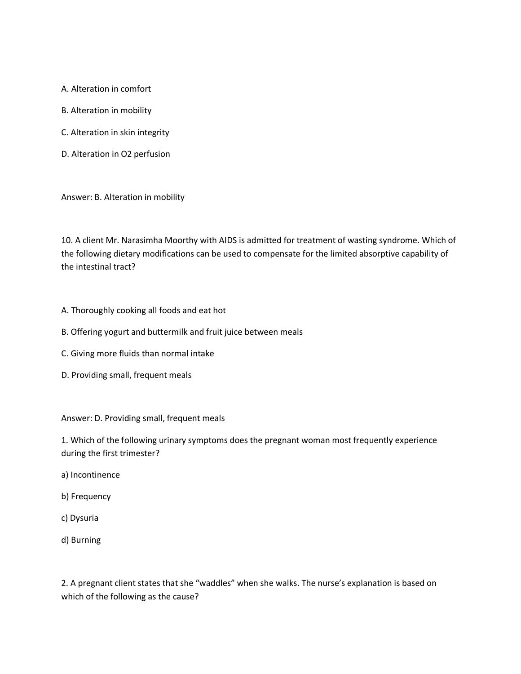A. Alteration in comfort

- B. Alteration in mobility
- C. Alteration in skin integrity
- D. Alteration in O2 perfusion

Answer: B. Alteration in mobility

10. A client Mr. Narasimha Moorthy with AIDS is admitted for treatment of wasting syndrome. Which of the following dietary modifications can be used to compensate for the limited absorptive capability of the intestinal tract?

- A. Thoroughly cooking all foods and eat hot
- B. Offering yogurt and buttermilk and fruit juice between meals
- C. Giving more fluids than normal intake
- D. Providing small, frequent meals

Answer: D. Providing small, frequent meals

1. Which of the following urinary symptoms does the pregnant woman most frequently experience during the first trimester?

- a) Incontinence
- b) Frequency
- c) Dysuria
- d) Burning

2. A pregnant client states that she "waddles" when she walks. The nurse's explanation is based on which of the following as the cause?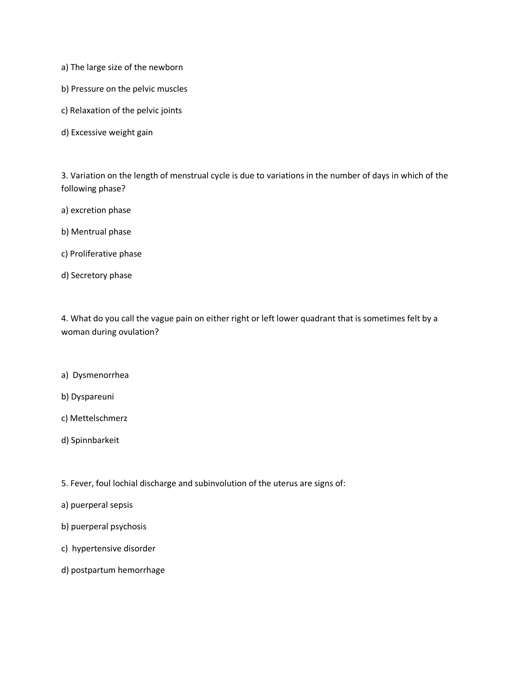- a) The large size of the newborn
- b) Pressure on the pelvic muscles
- c) Relaxation of the pelvic joints
- d) Excessive weight gain

3. Variation on the length of menstrual cycle is due to variations in the number of days in which of the following phase?

- a) excretion phase
- b) Mentrual phase
- c) Proliferative phase
- d) Secretory phase

4. What do you call the vague pain on either right or left lower quadrant that is sometimes felt by a woman during ovulation?

- a) Dysmenorrhea
- b) Dyspareuni
- c) Mettelschmerz
- d) Spinnbarkeit

5. Fever, foul lochial discharge and subinvolution of the uterus are signs of:

- a) puerperal sepsis
- b) puerperal psychosis
- c) hypertensive disorder
- d) postpartum hemorrhage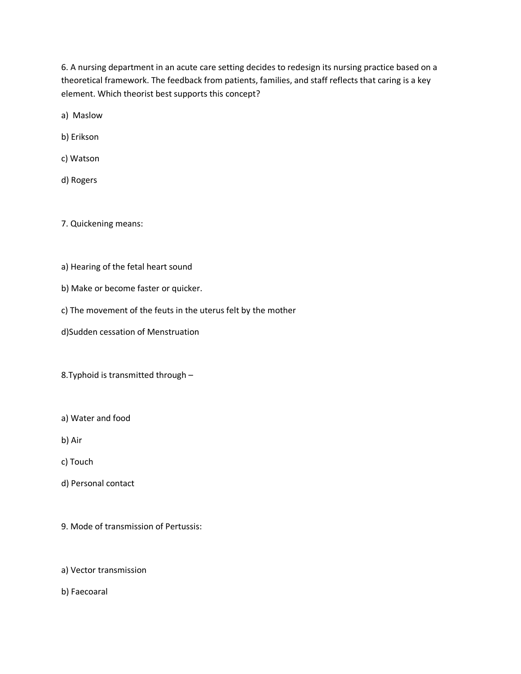6. A nursing department in an acute care setting decides to redesign its nursing practice based on a theoretical framework. The feedback from patients, families, and staff reflects that caring is a key element. Which theorist best supports this concept?

a) Maslow

b) Erikson

c) Watson

d) Rogers

7. Quickening means:

- a) Hearing of the fetal heart sound
- b) Make or become faster or quicker.
- c) The movement of the feuts in the uterus felt by the mother
- d)Sudden cessation of Menstruation

8.Typhoid is transmitted through –

- a) Water and food
- b) Air

c) Touch

- d) Personal contact
- 9. Mode of transmission of Pertussis:

## a) Vector transmission

b) Faecoaral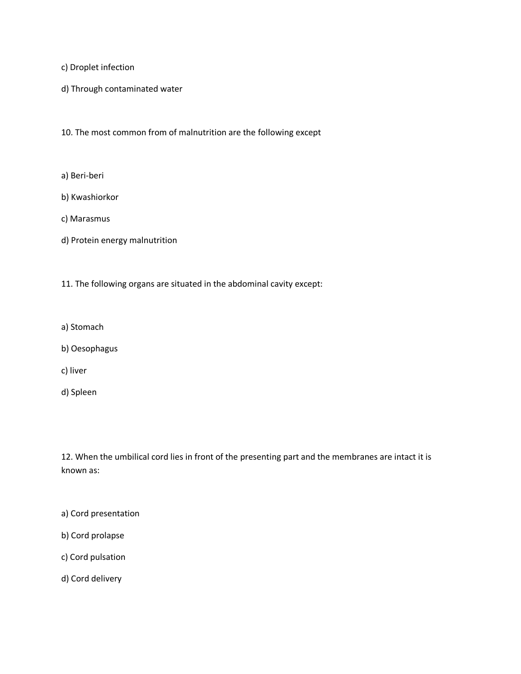c) Droplet infection

d) Through contaminated water

10. The most common from of malnutrition are the following except

- a) Beri-beri
- b) Kwashiorkor
- c) Marasmus
- d) Protein energy malnutrition
- 11. The following organs are situated in the abdominal cavity except:
- a) Stomach
- b) Oesophagus
- c) liver
- d) Spleen

12. When the umbilical cord lies in front of the presenting part and the membranes are intact it is known as:

- a) Cord presentation
- b) Cord prolapse
- c) Cord pulsation
- d) Cord delivery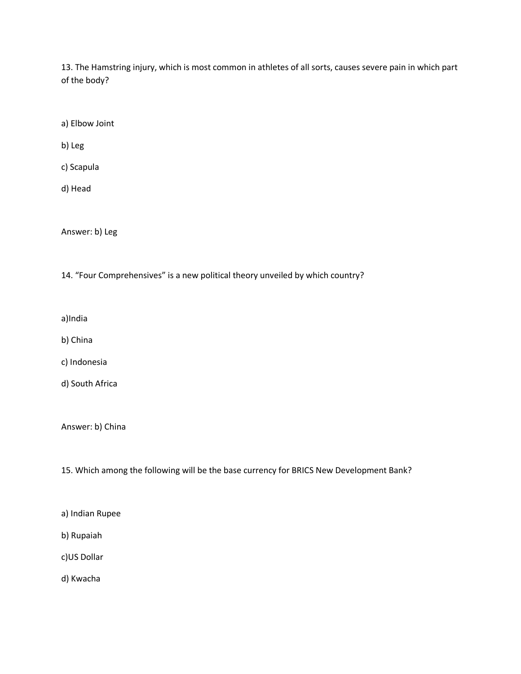13. The Hamstring injury, which is most common in athletes of all sorts, causes severe pain in which part of the body?

a) Elbow Joint

b) Leg

c) Scapula

d) Head

Answer: b) Leg

14. "Four Comprehensives" is a new political theory unveiled by which country?

a)India

b) China

c) Indonesia

d) South Africa

Answer: b) China

15. Which among the following will be the base currency for BRICS New Development Bank?

a) Indian Rupee

b) Rupaiah

c)US Dollar

d) Kwacha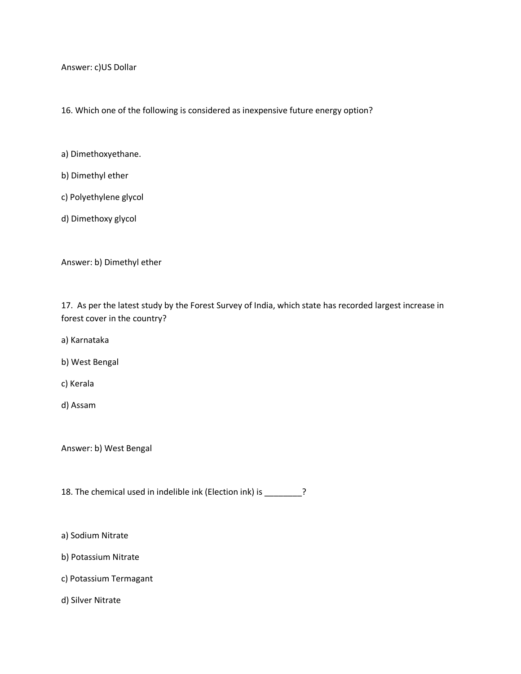Answer: c)US Dollar

16. Which one of the following is considered as inexpensive future energy option?

- a) Dimethoxyethane.
- b) Dimethyl ether
- c) Polyethylene glycol
- d) Dimethoxy glycol

Answer: b) Dimethyl ether

17. As per the latest study by the Forest Survey of India, which state has recorded largest increase in forest cover in the country?

- a) Karnataka
- b) West Bengal
- c) Kerala
- d) Assam

Answer: b) West Bengal

18. The chemical used in indelible ink (Election ink) is \_\_\_\_\_\_\_?

- a) Sodium Nitrate
- b) Potassium Nitrate
- c) Potassium Termagant
- d) Silver Nitrate